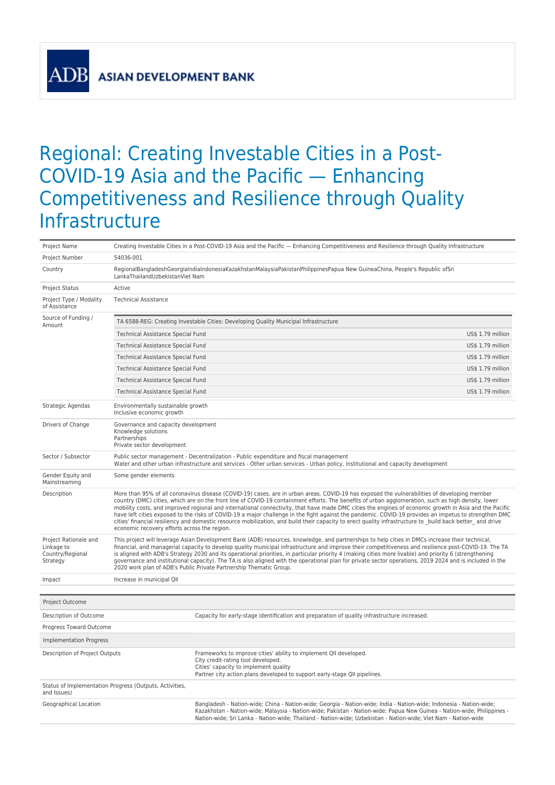**ADB** 

## Regional: Creating Investable Cities in a Post-COVID-19 Asia and the Pacific — Enhancing Competitiveness and Resilience through Quality Infrastructure

| Project Name                                                        | Creating Investable Cities in a Post-COVID-19 Asia and the Pacific - Enhancing Competitiveness and Resilience through Quality Infrastructure                                                                                                                                                                                                                                                                                                                                                                                                                                                                                                                                                                                                                                                                                       |                                                                                                                                                                                                                                                                                                                                                                  |  |  |  |  |
|---------------------------------------------------------------------|------------------------------------------------------------------------------------------------------------------------------------------------------------------------------------------------------------------------------------------------------------------------------------------------------------------------------------------------------------------------------------------------------------------------------------------------------------------------------------------------------------------------------------------------------------------------------------------------------------------------------------------------------------------------------------------------------------------------------------------------------------------------------------------------------------------------------------|------------------------------------------------------------------------------------------------------------------------------------------------------------------------------------------------------------------------------------------------------------------------------------------------------------------------------------------------------------------|--|--|--|--|
| Project Number                                                      | 54036-001                                                                                                                                                                                                                                                                                                                                                                                                                                                                                                                                                                                                                                                                                                                                                                                                                          |                                                                                                                                                                                                                                                                                                                                                                  |  |  |  |  |
| Country                                                             | RegionalBangladeshGeorgiaIndiaIndonesiaKazakhstanMalaysiaPakistanPhilippinesPapua New GuineaChina, People's Republic ofSri<br>LankaThailandUzbekistanViet Nam                                                                                                                                                                                                                                                                                                                                                                                                                                                                                                                                                                                                                                                                      |                                                                                                                                                                                                                                                                                                                                                                  |  |  |  |  |
| <b>Project Status</b>                                               | Active                                                                                                                                                                                                                                                                                                                                                                                                                                                                                                                                                                                                                                                                                                                                                                                                                             |                                                                                                                                                                                                                                                                                                                                                                  |  |  |  |  |
| Project Type / Modality<br>of Assistance                            | <b>Technical Assistance</b>                                                                                                                                                                                                                                                                                                                                                                                                                                                                                                                                                                                                                                                                                                                                                                                                        |                                                                                                                                                                                                                                                                                                                                                                  |  |  |  |  |
| Source of Funding /<br>Amount                                       | TA 6588-REG: Creating Investable Cities: Developing Quality Municipal Infrastructure                                                                                                                                                                                                                                                                                                                                                                                                                                                                                                                                                                                                                                                                                                                                               |                                                                                                                                                                                                                                                                                                                                                                  |  |  |  |  |
|                                                                     | US\$ 1.79 million<br>Technical Assistance Special Fund                                                                                                                                                                                                                                                                                                                                                                                                                                                                                                                                                                                                                                                                                                                                                                             |                                                                                                                                                                                                                                                                                                                                                                  |  |  |  |  |
|                                                                     | Technical Assistance Special Fund                                                                                                                                                                                                                                                                                                                                                                                                                                                                                                                                                                                                                                                                                                                                                                                                  |                                                                                                                                                                                                                                                                                                                                                                  |  |  |  |  |
|                                                                     | Technical Assistance Special Fund                                                                                                                                                                                                                                                                                                                                                                                                                                                                                                                                                                                                                                                                                                                                                                                                  | US\$ 1.79 million                                                                                                                                                                                                                                                                                                                                                |  |  |  |  |
|                                                                     | Technical Assistance Special Fund<br>US\$ 1.79 million                                                                                                                                                                                                                                                                                                                                                                                                                                                                                                                                                                                                                                                                                                                                                                             |                                                                                                                                                                                                                                                                                                                                                                  |  |  |  |  |
|                                                                     | US\$ 1.79 million<br>Technical Assistance Special Fund                                                                                                                                                                                                                                                                                                                                                                                                                                                                                                                                                                                                                                                                                                                                                                             |                                                                                                                                                                                                                                                                                                                                                                  |  |  |  |  |
|                                                                     | Technical Assistance Special Fund<br>US\$ 1.79 million                                                                                                                                                                                                                                                                                                                                                                                                                                                                                                                                                                                                                                                                                                                                                                             |                                                                                                                                                                                                                                                                                                                                                                  |  |  |  |  |
| Strategic Agendas                                                   | Environmentally sustainable growth<br>Inclusive economic growth                                                                                                                                                                                                                                                                                                                                                                                                                                                                                                                                                                                                                                                                                                                                                                    |                                                                                                                                                                                                                                                                                                                                                                  |  |  |  |  |
| Drivers of Change                                                   | Governance and capacity development<br>Knowledge solutions<br>Partnerships<br>Private sector development                                                                                                                                                                                                                                                                                                                                                                                                                                                                                                                                                                                                                                                                                                                           |                                                                                                                                                                                                                                                                                                                                                                  |  |  |  |  |
| Sector / Subsector                                                  | Public sector management - Decentralization - Public expenditure and fiscal management<br>Water and other urban infrastructure and services - Other urban services - Urban policy, institutional and capacity development                                                                                                                                                                                                                                                                                                                                                                                                                                                                                                                                                                                                          |                                                                                                                                                                                                                                                                                                                                                                  |  |  |  |  |
| Gender Equity and<br>Mainstreaming                                  | Some gender elements                                                                                                                                                                                                                                                                                                                                                                                                                                                                                                                                                                                                                                                                                                                                                                                                               |                                                                                                                                                                                                                                                                                                                                                                  |  |  |  |  |
| Description                                                         | More than 95% of all coronavirus disease (COVID-19) cases, are in urban areas. COVID-19 has exposed the vulnerabilities of developing member<br>country (DMC) cities, which are on the front line of COVID-19 containment efforts. The benefits of urban agglomeration, such as high density, lower<br>mobility costs, and improved regional and international connectivity, that have made DMC cities the engines of economic growth in Asia and the Pacific<br>have left cities exposed to the risks of COVID-19 a major challenge in the fight against the pandemic. COVID-19 provides an impetus to strengthen DMC<br>cities' financial resiliency and domestic resource mobilization, and build their capacity to erect quality infrastructure to build back better and drive<br>economic recovery efforts across the region. |                                                                                                                                                                                                                                                                                                                                                                  |  |  |  |  |
| Project Rationale and<br>Linkage to<br>Country/Regional<br>Strategy | This project will leverage Asian Development Bank (ADB) resources, knowledge, and partnerships to help cities in DMCs increase their technical,<br>financial, and managerial capacity to develop quality municipal infrastructure and improve their competitiveness and resilience post-COVID-19. The TA<br>is aligned with ADB's Strategy 2030 and its operational priorities, in particular priority 4 (making cities more livable) and priority 6 (strengthening<br>governance and institutional capacity). The TA is also aligned with the operational plan for private sector operations, 2019 2024 and is included in the<br>2020 work plan of ADB's Public Private Partnership Thematic Group.                                                                                                                              |                                                                                                                                                                                                                                                                                                                                                                  |  |  |  |  |
| Impact                                                              | Increase in municipal QII                                                                                                                                                                                                                                                                                                                                                                                                                                                                                                                                                                                                                                                                                                                                                                                                          |                                                                                                                                                                                                                                                                                                                                                                  |  |  |  |  |
| Project Outcome                                                     |                                                                                                                                                                                                                                                                                                                                                                                                                                                                                                                                                                                                                                                                                                                                                                                                                                    |                                                                                                                                                                                                                                                                                                                                                                  |  |  |  |  |
| Description of Outcome                                              |                                                                                                                                                                                                                                                                                                                                                                                                                                                                                                                                                                                                                                                                                                                                                                                                                                    | Capacity for early-stage identification and preparation of quality infrastructure increased.                                                                                                                                                                                                                                                                     |  |  |  |  |
| Progress Toward Outcome                                             |                                                                                                                                                                                                                                                                                                                                                                                                                                                                                                                                                                                                                                                                                                                                                                                                                                    |                                                                                                                                                                                                                                                                                                                                                                  |  |  |  |  |
| <b>Implementation Progress</b>                                      |                                                                                                                                                                                                                                                                                                                                                                                                                                                                                                                                                                                                                                                                                                                                                                                                                                    |                                                                                                                                                                                                                                                                                                                                                                  |  |  |  |  |
|                                                                     |                                                                                                                                                                                                                                                                                                                                                                                                                                                                                                                                                                                                                                                                                                                                                                                                                                    | Frameworks to improve cities' ability to implement QII developed.                                                                                                                                                                                                                                                                                                |  |  |  |  |
| Description of Project Outputs                                      |                                                                                                                                                                                                                                                                                                                                                                                                                                                                                                                                                                                                                                                                                                                                                                                                                                    | City credit-rating tool developed.<br>Cities' capacity to implement quality<br>Partner city action plans developed to support early-stage QII pipelines.                                                                                                                                                                                                         |  |  |  |  |
| and Issues)                                                         | Status of Implementation Progress (Outputs, Activities,                                                                                                                                                                                                                                                                                                                                                                                                                                                                                                                                                                                                                                                                                                                                                                            |                                                                                                                                                                                                                                                                                                                                                                  |  |  |  |  |
| Geographical Location                                               |                                                                                                                                                                                                                                                                                                                                                                                                                                                                                                                                                                                                                                                                                                                                                                                                                                    | Bangladesh - Nation-wide; China - Nation-wide; Georgia - Nation-wide; India - Nation-wide; Indonesia - Nation-wide;<br>Kazakhstan - Nation-wide; Malaysia - Nation-wide; Pakistan - Nation-wide; Papua New Guinea - Nation-wide; Philippines -<br>Nation-wide; Sri Lanka - Nation-wide; Thailand - Nation-wide; Uzbekistan - Nation-wide; Viet Nam - Nation-wide |  |  |  |  |